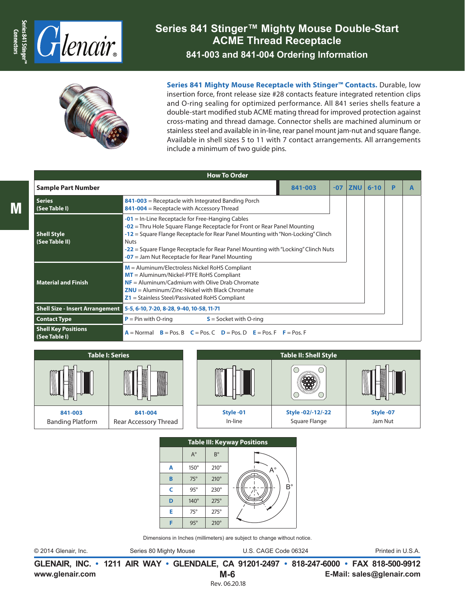

# **Series 841 Stinger™ Mighty Mouse Double-Start ACME Thread Receptacle**

**841-003 and 841-004 Ordering Information**



**Series 841 Mighty Mouse Receptacle with Stinger™ Contacts.** Durable, low insertion force, front release size #28 contacts feature integrated retention clips and O-ring sealing for optimized performance. All 841 series shells feature a double-start modified stub ACME mating thread for improved protection against cross-mating and thread damage. Connector shells are machined aluminum or stainless steel and available in in-line, rear panel mount jam-nut and square flange. Available in shell sizes 5 to 11 with 7 contact arrangements. All arrangements include a minimum of two guide pins.

|                                                                                                                                                                                                                                                                                                                                                                                                                         | <b>How To Order</b>                                                                                                                                                                                                                                        |         |       |            |          |   |  |  |  |  |  |  |  |
|-------------------------------------------------------------------------------------------------------------------------------------------------------------------------------------------------------------------------------------------------------------------------------------------------------------------------------------------------------------------------------------------------------------------------|------------------------------------------------------------------------------------------------------------------------------------------------------------------------------------------------------------------------------------------------------------|---------|-------|------------|----------|---|--|--|--|--|--|--|--|
| <b>Sample Part Number</b>                                                                                                                                                                                                                                                                                                                                                                                               |                                                                                                                                                                                                                                                            | 841-003 | $-07$ | <b>ZNU</b> | $6 - 10$ | Þ |  |  |  |  |  |  |  |
| <b>Series</b><br>(See Table I)                                                                                                                                                                                                                                                                                                                                                                                          | $841 - 003$ = Receptacle with Integrated Banding Porch<br>841-004 = Receptacle with Accessory Thread                                                                                                                                                       |         |       |            |          |   |  |  |  |  |  |  |  |
| $-01$ = In-Line Receptacle for Free-Hanging Cables<br>$-02$ = Thru Hole Square Flange Receptacle for Front or Rear Panel Mounting<br>-12 = Square Flange Receptacle for Rear Panel Mounting with "Non-Locking" Clinch<br><b>Shell Style</b><br>(See Table II)<br><b>Nuts</b><br>-22 = Square Flange Receptacle for Rear Panel Mounting with "Locking" Clinch Nuts<br>$-07$ = Jam Nut Receptacle for Rear Panel Mounting |                                                                                                                                                                                                                                                            |         |       |            |          |   |  |  |  |  |  |  |  |
| <b>Material and Finish</b>                                                                                                                                                                                                                                                                                                                                                                                              | $M =$ Aluminum/Electroless Nickel RoHS Compliant<br>$MT =$ Aluminum/Nickel-PTFE RoHS Compliant<br>$NF =$ Aluminum/Cadmium with Olive Drab Chromate<br>$ZNU =$ Aluminum/Zinc-Nickel with Black Chromate<br>$Z1$ = Stainless Steel/Passivated RoHS Compliant |         |       |            |          |   |  |  |  |  |  |  |  |
| <b>Shell Size - Insert Arrangement</b>                                                                                                                                                                                                                                                                                                                                                                                  | 5-5, 6-10, 7-20, 8-28, 9-40, 10-58, 11-71                                                                                                                                                                                                                  |         |       |            |          |   |  |  |  |  |  |  |  |
| <b>Contact Type</b>                                                                                                                                                                                                                                                                                                                                                                                                     | $P = Pin$ with O-ring<br>$S =$ Socket with O-ring                                                                                                                                                                                                          |         |       |            |          |   |  |  |  |  |  |  |  |
| <b>Shell Key Positions</b><br>(See Table I)                                                                                                                                                                                                                                                                                                                                                                             | $A = Normal$ $B = Pos$ , $B = Pos$ , $C = Pos$ , $D = Pos$ , $D = Pos$ , $F = Pos$ , $F = Pos$ , $F = Pos$                                                                                                                                                 |         |       |            |          |   |  |  |  |  |  |  |  |



|   |             |             | <b>Table III: Keyway Positions</b> |  |  |  |  |  |  |  |  |  |  |  |  |  |
|---|-------------|-------------|------------------------------------|--|--|--|--|--|--|--|--|--|--|--|--|--|
|   | $A^{\circ}$ | $B^{\circ}$ |                                    |  |  |  |  |  |  |  |  |  |  |  |  |  |
| A | $150^\circ$ | $210^\circ$ | $\mathsf{A}^\circ$                 |  |  |  |  |  |  |  |  |  |  |  |  |  |
| B | $75^\circ$  | $210^\circ$ |                                    |  |  |  |  |  |  |  |  |  |  |  |  |  |
| C | $95^\circ$  | $230^\circ$ | $B^{\circ}$                        |  |  |  |  |  |  |  |  |  |  |  |  |  |
| D | $140^\circ$ | $275^\circ$ |                                    |  |  |  |  |  |  |  |  |  |  |  |  |  |
| Е | $75^\circ$  | $275^\circ$ |                                    |  |  |  |  |  |  |  |  |  |  |  |  |  |
|   | $95^\circ$  | $210^\circ$ |                                    |  |  |  |  |  |  |  |  |  |  |  |  |  |

Dimensions in Inches (millimeters) are subject to change without notice.

© 2014 Glenair, Inc. Series 80 Mighty Mouse U.S. CAGE Code 06324 Printed in U.S.A.

**www.glenair.com E-Mail: sales@glenair.com GLENAIR, INC. • 1211 AIR WAY • GLENDALE, CA 91201-2497 • 818-247-6000 • FAX 818-500-9912 M-6** Rev. 06.20.18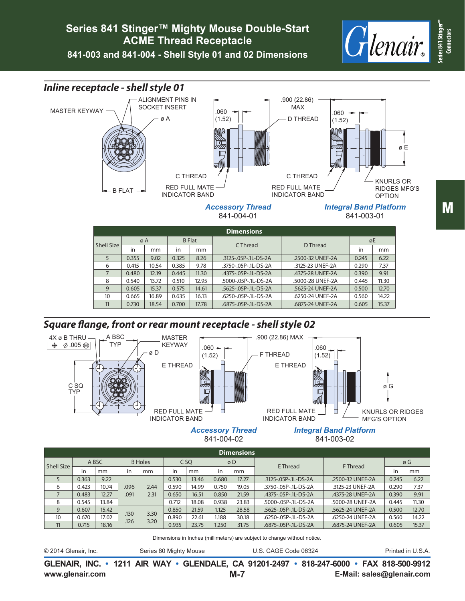## **Series 841 Stinger™ Mighty Mouse Double-Start ACME Thread Receptacle**

**841-003 and 841-004 - Shell Style 01 and 02 Dimensions**

RED FULL MATE INDICATOR BAND

C THREAD

.060 (1.52)

ALIGNMENT PINS IN<br>SOCKET INSERT

ø A

B FLAT

*Inline receptacle - shell style 01* 

MASTER KEYWAY







*Integral Band Platform* 841-003-01

.060 (1.52)

C THREAD RED FULL MATE INDICATOR BAND

.900 (22.86) **MAX** 

D THREAD

|            | <b>Dimensions</b> |       |               |       |                      |                  |       |       |  |  |  |  |  |  |
|------------|-------------------|-------|---------------|-------|----------------------|------------------|-------|-------|--|--|--|--|--|--|
| Shell Size | øΑ                |       | <b>B</b> Flat |       | C Thread             | D Thread         | øE    |       |  |  |  |  |  |  |
|            | in                | mm    | in            | mm    |                      |                  | in    | mm    |  |  |  |  |  |  |
| 5          | 0.355             | 9.02  | 0.325         | 8.26  | .3125-.05P-.1L-DS-2A | .2500-32 UNEF-2A | 0.245 | 6.22  |  |  |  |  |  |  |
| 6          | 0.415             | 10.54 | 0.385         | 9.78  | .3750-.05P-.1L-DS-2A | .3125-23 UNEF-2A | 0.290 | 7.37  |  |  |  |  |  |  |
|            | 0.480             | 12.19 | 0.445         | 11.30 | .4375-.05P-.1L-DS-2A | .4375-28 UNEF-2A | 0.390 | 9.91  |  |  |  |  |  |  |
| 8          | 0.540             | 13.72 | 0.510         | 12.95 | .5000-.05P-.1L-DS-2A | .5000-28 UNEF-2A | 0.445 | 11.30 |  |  |  |  |  |  |
| 9          | 0.605             | 15.37 | 0.575         | 14.61 | .5625-.05P-.1L-DS-2A | .5625-24 UNEF-2A | 0.500 | 12.70 |  |  |  |  |  |  |
| 10         | 0.665             | 16.89 | 0.635         | 16.13 | .6250-.05P-.1L-DS-2A | .6250-24 UNEF-2A | 0.560 | 14.22 |  |  |  |  |  |  |
| 11         | 0.730             | 18.54 | 0.700         | 17.78 | .6875-.05P-.1L-DS-2A | .6875-24 UNEF-2A | 0.605 | 15.37 |  |  |  |  |  |  |

*Accessory Thread* 841-004-01

### *Square flange, front or rear mount receptacle - shell style 02*



#### *Accessory Thread* 841-004-02

*Integral Band Platform* 841-003-02

|            | <b>Dimensions</b> |       |      |                |                 |       |       |       |                      |                  |       |       |  |  |  |
|------------|-------------------|-------|------|----------------|-----------------|-------|-------|-------|----------------------|------------------|-------|-------|--|--|--|
| Shell Size |                   | A BSC |      | <b>B</b> Holes | C <sub>SQ</sub> |       | øD    |       | <b>E</b> Thread      | F Thread         | øG    |       |  |  |  |
|            | in                | mm    | in   | mm             | in              | mm    | in    | mm    |                      |                  | in    | mm    |  |  |  |
| 5          | 0.363             | 9.22  |      |                | 0.530           | 13.46 | 0.680 | 17.27 | .3125-.05P-.1L-DS-2A | .2500-32 UNEF-2A | 0.245 | 6.22  |  |  |  |
| 6          | 0.423             | 10.74 | .096 | 2.44           | 0.590           | 14.99 | 0.750 | 19.05 | .3750-.05P-.1L-DS-2A | .3125-23 UNEF-2A | 0.290 | 7.37  |  |  |  |
|            | 0.483             | 12.27 | .091 | 2.31           | 0.650           | 16.51 | 0.850 | 21.59 | .4375-.05P-.1L-DS-2A | .4375-28 UNEF-2A | 0.390 | 9.91  |  |  |  |
| 8          | 0.545             | 13.84 |      |                | 0.712           | 18.08 | 0.938 | 23.83 | .5000-.05P-.1L-DS-2A | .5000-28 UNEF-2A | 0.445 | 11.30 |  |  |  |
| 9          | 0.607             | 15.42 | .130 | 3.30           | 0.850           | 21.59 | 1.125 | 28.58 | .5625-.05P-.1L-DS-2A | .5625-24 UNEF-2A | 0.500 | 12.70 |  |  |  |
| 10         | 0.670             | 17.02 | .126 | 3.20           | 0.890           | 22.61 | 1.188 | 30.18 | .6250-.05P-.1L-DS-2A | .6250-24 UNEF-2A | 0.560 | 14.22 |  |  |  |
| 11         | 0.715             | 18.16 |      |                | 0.935           | 23.75 | 1.250 | 31.75 | .6875-.05P-.1L-DS-2A | .6875-24 UNEF-2A | 0.605 | 15.37 |  |  |  |

Dimensions in Inches (millimeters) are subject to change without notice.

© 2014 Glenair, Inc. Series 80 Mighty Mouse U.S. CAGE Code 06324 Printed in U.S.A.

**www.glenair.com E-Mail: sales@glenair.com GLENAIR, INC. • 1211 AIR WAY • GLENDALE, CA 91201-2497 • 818-247-6000 • FAX 818-500-9912 M-7**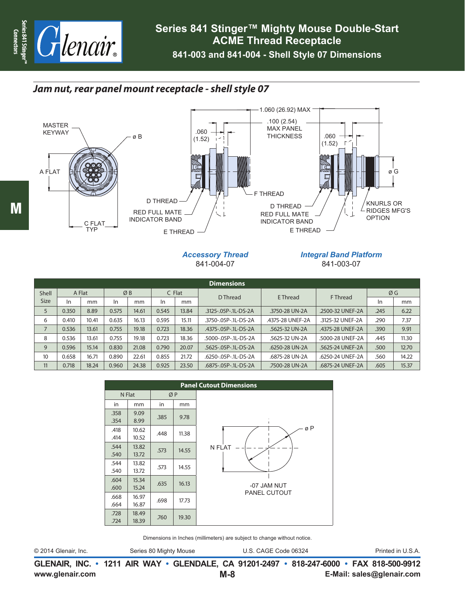

## *Jam nut, rear panel mount receptacle - shell style 07*



#### *Accessory Thread* 841-004-07

### *Integral Band Platform* 841-003-07

|                 | <b>Dimensions</b> |       |       |       |          |               |                      |                  |                  |          |          |    |  |  |  |
|-----------------|-------------------|-------|-------|-------|----------|---------------|----------------------|------------------|------------------|----------|----------|----|--|--|--|
| Shell           | A Flat            |       | ØB    |       | $C$ Flat |               |                      |                  | D Thread         | E Thread | F Thread | ØG |  |  |  |
| <b>Size</b>     | In                | mm    | In    | mm    | In       | <sub>mm</sub> |                      |                  |                  | -In      | mm       |    |  |  |  |
| 5               | 0.350             | 8.89  | 0.575 | 14.61 | 0.545    | 13.84         | .3125-.05P-.1L-DS-2A | .3750-28 UN-2A   | .2500-32 UNEF-2A | .245     | 6.22     |    |  |  |  |
| 6               | 0.410             | 10.41 | 0.635 | 16.13 | 0.595    | 15.11         | .3750-.05P-.1L-DS-2A | .4375-28 UNEF-2A | .3125-32 UNEF-2A | .290     | 7.37     |    |  |  |  |
| 7               | 0.536             | 13.61 | 0.755 | 19.18 | 0.723    | 18.36         | .4375-.05P-.1L-DS-2A | .5625-32 UN-2A   | .4375-28 UNEF-2A | .390     | 9.91     |    |  |  |  |
| 8               | 0.536             | 13.61 | 0.755 | 19.18 | 0.723    | 18.36         | .5000-.05P-.1L-DS-2A | .5625-32 UN-2A   | .5000-28 UNEF-2A | .445     | 11.30    |    |  |  |  |
| 9               | 0.596             | 15.14 | 0.830 | 21.08 | 0.790    | 20.07         | .5625-.05P-.1L-DS-2A | .6250-28 UN-2A   | .5625-24 UNEF-2A | .500     | 12.70    |    |  |  |  |
| 10 <sup>°</sup> | 0.658             | 16.71 | 0.890 | 22.61 | 0.855    | 21.72         | .6250-.05P-.1L-DS-2A | .6875-28 UN-2A   | .6250-24 UNEF-2A | .560     | 14.22    |    |  |  |  |
| 11              | 0.718             | 18.24 | 0.960 | 24.38 | 0.925    | 23.50         | .6875-.05P-.1L-DS-2A | .7500-28 UN-2A   | .6875-24 UNEF-2A | .605     | 15.37    |    |  |  |  |

|              |                |      |       | <b>Panel Cutout Dimensions</b> |
|--------------|----------------|------|-------|--------------------------------|
| N Flat       |                | ØP   |       |                                |
| in           | <sub>mm</sub>  | in   | mm    |                                |
| .358<br>.354 | 9.09<br>8.99   | .385 | 9.78  |                                |
| .418<br>.414 | 10.62<br>10.52 | .448 | 11.38 | øΡ                             |
| .544<br>.540 | 13.82<br>13.72 | .573 | 14.55 | N FLAT                         |
| .544<br>.540 | 13.82<br>13.72 | .573 | 14.55 |                                |
| .604<br>.600 | 15.34<br>15.24 | .635 | 16.13 | -07 JAM NUT                    |
| .668<br>.664 | 16.97<br>16.87 | .698 | 17.73 | <b>PANEL CUTOUT</b>            |
| .728<br>.724 | 18.49<br>18.39 | .760 | 19.30 |                                |

Dimensions in Inches (millimeters) are subject to change without notice.

```
© 2014 Glenair, Inc. Series 80 Mighty Mouse U.S. CAGE Code 06324 Printed in U.S.A.
```
**www.glenair.com E-Mail: sales@glenair.com GLENAIR, INC. • 1211 AIR WAY • GLENDALE, CA 91201-2497 • 818-247-6000 • FAX 818-500-9912 M-8**